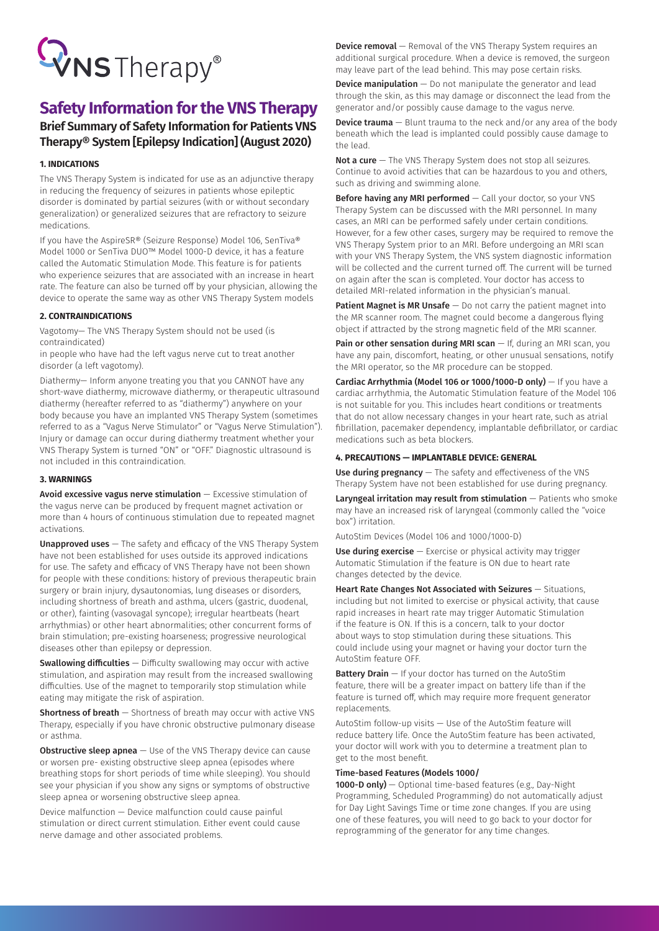# WNSTherapy®

## **Safety Information for the VNS Therapy**

### **Brief Summary of Safety Information for Patients VNS Therapy® System [Epilepsy Indication] (August 2020)**

#### **1. INDICATIONS**

The VNS Therapy System is indicated for use as an adjunctive therapy in reducing the frequency of seizures in patients whose epileptic disorder is dominated by partial seizures (with or without secondary generalization) or generalized seizures that are refractory to seizure medications.

If you have the AspireSR® (Seizure Response) Model 106, SenTiva® Model 1000 or SenTiva DUO™ Model 1000-D device, it has a feature called the Automatic Stimulation Mode. This feature is for patients who experience seizures that are associated with an increase in heart rate. The feature can also be turned off by your physician, allowing the device to operate the same way as other VNS Therapy System models

#### **2. CONTRAINDICATIONS**

Vagotomy— The VNS Therapy System should not be used (is contraindicated)

in people who have had the left vagus nerve cut to treat another disorder (a left vagotomy).

Diathermy— Inform anyone treating you that you CANNOT have any short-wave diathermy, microwave diathermy, or therapeutic ultrasound diathermy (hereafter referred to as "diathermy") anywhere on your body because you have an implanted VNS Therapy System (sometimes referred to as a "Vagus Nerve Stimulator" or "Vagus Nerve Stimulation"). Injury or damage can occur during diathermy treatment whether your VNS Therapy System is turned "ON" or "OFF." Diagnostic ultrasound is not included in this contraindication.

#### **3. WARNINGS**

Avoid excessive vagus nerve stimulation — Excessive stimulation of the vagus nerve can be produced by frequent magnet activation or more than 4 hours of continuous stimulation due to repeated magnet activations.

Unapproved uses – The safety and efficacy of the VNS Therapy System have not been established for uses outside its approved indications for use. The safety and efficacy of VNS Therapy have not been shown for people with these conditions: history of previous therapeutic brain surgery or brain injury, dysautonomias, lung diseases or disorders, including shortness of breath and asthma, ulcers (gastric, duodenal, or other), fainting (vasovagal syncope); irregular heartbeats (heart arrhythmias) or other heart abnormalities; other concurrent forms of brain stimulation; pre-existing hoarseness; progressive neurological diseases other than epilepsy or depression.

Swallowing difficulties - Difficulty swallowing may occur with active stimulation, and aspiration may result from the increased swallowing difficulties. Use of the magnet to temporarily stop stimulation while eating may mitigate the risk of aspiration.

Shortness of breath - Shortness of breath may occur with active VNS Therapy, especially if you have chronic obstructive pulmonary disease or asthma.

**Obstructive sleep apnea**  $-$  Use of the VNS Therapy device can cause or worsen pre- existing obstructive sleep apnea (episodes where breathing stops for short periods of time while sleeping). You should see your physician if you show any signs or symptoms of obstructive sleep apnea or worsening obstructive sleep apnea.

Device malfunction — Device malfunction could cause painful stimulation or direct current stimulation. Either event could cause nerve damage and other associated problems.

**Device removal** – Removal of the VNS Therapy System requires an additional surgical procedure. When a device is removed, the surgeon may leave part of the lead behind. This may pose certain risks.

**Device manipulation**  $-$  Do not manipulate the generator and lead through the skin, as this may damage or disconnect the lead from the generator and/or possibly cause damage to the vagus nerve.

**Device trauma**  $-$  Blunt trauma to the neck and/or any area of the body beneath which the lead is implanted could possibly cause damage to the lead.

Not a cure  $-$  The VNS Therapy System does not stop all seizures. Continue to avoid activities that can be hazardous to you and others, such as driving and swimming alone.

Before having any MRI performed - Call your doctor, so your VNS Therapy System can be discussed with the MRI personnel. In many cases, an MRI can be performed safely under certain conditions. However, for a few other cases, surgery may be required to remove the VNS Therapy System prior to an MRI. Before undergoing an MRI scan with your VNS Therapy System, the VNS system diagnostic information will be collected and the current turned off. The current will be turned on again after the scan is completed. Your doctor has access to detailed MRI-related information in the physician's manual.

**Patient Magnet is MR Unsafe**  $-$  Do not carry the patient magnet into the MR scanner room. The magnet could become a dangerous flying object if attracted by the strong magnetic field of the MRI scanner.

Pain or other sensation during MRI scan  $-$  If, during an MRI scan, you have any pain, discomfort, heating, or other unusual sensations, notify the MRI operator, so the MR procedure can be stopped.

Cardiac Arrhythmia (Model 106 or 1000/1000-D only)  $-$  If you have a cardiac arrhythmia, the Automatic Stimulation feature of the Model 106 is not suitable for you. This includes heart conditions or treatments that do not allow necessary changes in your heart rate, such as atrial fibrillation, pacemaker dependency, implantable defibrillator, or cardiac medications such as beta blockers.

#### **4. PRECAUTIONS — IMPLANTABLE DEVICE: GENERAL**

Use during pregnancy - The safety and effectiveness of the VNS Therapy System have not been established for use during pregnancy.

Laryngeal irritation may result from stimulation  $-$  Patients who smoke may have an increased risk of laryngeal (commonly called the "voice box") irritation.

AutoStim Devices (Model 106 and 1000/1000-D)

Use during exercise  $-$  Exercise or physical activity may trigger Automatic Stimulation if the feature is ON due to heart rate changes detected by the device.

Heart Rate Changes Not Associated with Seizures - Situations, including but not limited to exercise or physical activity, that cause rapid increases in heart rate may trigger Automatic Stimulation if the feature is ON. If this is a concern, talk to your doctor about ways to stop stimulation during these situations. This could include using your magnet or having your doctor turn the AutoStim feature OFF.

**Battery Drain**  $-$  If your doctor has turned on the AutoStim feature, there will be a greater impact on battery life than if the feature is turned off, which may require more frequent generator replacements.

AutoStim follow-up visits — Use of the AutoStim feature will reduce battery life. Once the AutoStim feature has been activated, your doctor will work with you to determine a treatment plan to get to the most benefit.

#### Time-based Features (Models 1000/

1000-D only) — Optional time-based features (e.g., Day-Night Programming, Scheduled Programming) do not automatically adjust for Day Light Savings Time or time zone changes. If you are using one of these features, you will need to go back to your doctor for reprogramming of the generator for any time changes.